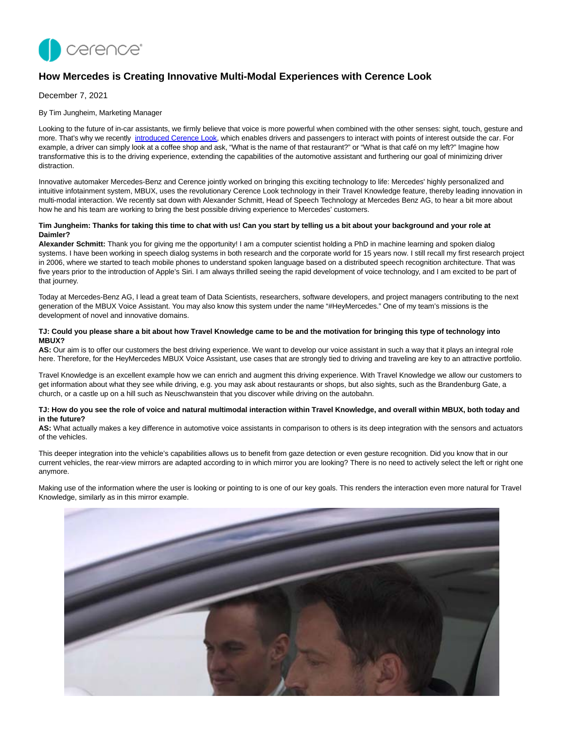

# **How Mercedes is Creating Innovative Multi-Modal Experiences with Cerence Look**

December 7, 2021

By Tim Jungheim, Marketing Manager

Looking to the future of in-car assistants, we firmly believe that voice is more powerful when combined with the other senses: sight, touch, gesture and more. That's why we recently [introduced Cerence Look,](https://www.cerence.com/news-releases/news-release-details/cerence-introduces-cerence-look-revolutionizing-way-drivers) which enables drivers and passengers to interact with points of interest outside the car. For example, a driver can simply look at a coffee shop and ask, "What is the name of that restaurant?" or "What is that café on my left?" Imagine how transformative this is to the driving experience, extending the capabilities of the automotive assistant and furthering our goal of minimizing driver distraction.

Innovative automaker Mercedes-Benz and Cerence jointly worked on bringing this exciting technology to life: Mercedes' highly personalized and intuitive infotainment system, MBUX, uses the revolutionary Cerence Look technology in their Travel Knowledge feature, thereby leading innovation in multi-modal interaction. We recently sat down with Alexander Schmitt, Head of Speech Technology at Mercedes Benz AG, to hear a bit more about how he and his team are working to bring the best possible driving experience to Mercedes' customers.

### **Tim Jungheim: Thanks for taking this time to chat with us! Can you start by telling us a bit about your background and your role at Daimler?**

**Alexander Schmitt:** Thank you for giving me the opportunity! I am a computer scientist holding a PhD in machine learning and spoken dialog systems. I have been working in speech dialog systems in both research and the corporate world for 15 years now. I still recall my first research project in 2006, where we started to teach mobile phones to understand spoken language based on a distributed speech recognition architecture. That was five years prior to the introduction of Apple's Siri. I am always thrilled seeing the rapid development of voice technology, and I am excited to be part of that journey.

Today at Mercedes-Benz AG, I lead a great team of Data Scientists, researchers, software developers, and project managers contributing to the next generation of the MBUX Voice Assistant. You may also know this system under the name "#HeyMercedes." One of my team's missions is the development of novel and innovative domains.

### **TJ: Could you please share a bit about how Travel Knowledge came to be and the motivation for bringing this type of technology into MBUX?**

AS: Our aim is to offer our customers the best driving experience. We want to develop our voice assistant in such a way that it plays an integral role here. Therefore, for the HeyMercedes MBUX Voice Assistant, use cases that are strongly tied to driving and traveling are key to an attractive portfolio.

Travel Knowledge is an excellent example how we can enrich and augment this driving experience. With Travel Knowledge we allow our customers to get information about what they see while driving, e.g. you may ask about restaurants or shops, but also sights, such as the Brandenburg Gate, a church, or a castle up on a hill such as Neuschwanstein that you discover while driving on the autobahn.

### **TJ: How do you see the role of voice and natural multimodal interaction within Travel Knowledge, and overall within MBUX, both today and in the future?**

**AS:** What actually makes a key difference in automotive voice assistants in comparison to others is its deep integration with the sensors and actuators of the vehicles.

This deeper integration into the vehicle's capabilities allows us to benefit from gaze detection or even gesture recognition. Did you know that in our current vehicles, the rear-view mirrors are adapted according to in which mirror you are looking? There is no need to actively select the left or right one anymore.

Making use of the information where the user is looking or pointing to is one of our key goals. This renders the interaction even more natural for Travel Knowledge, similarly as in this mirror example.